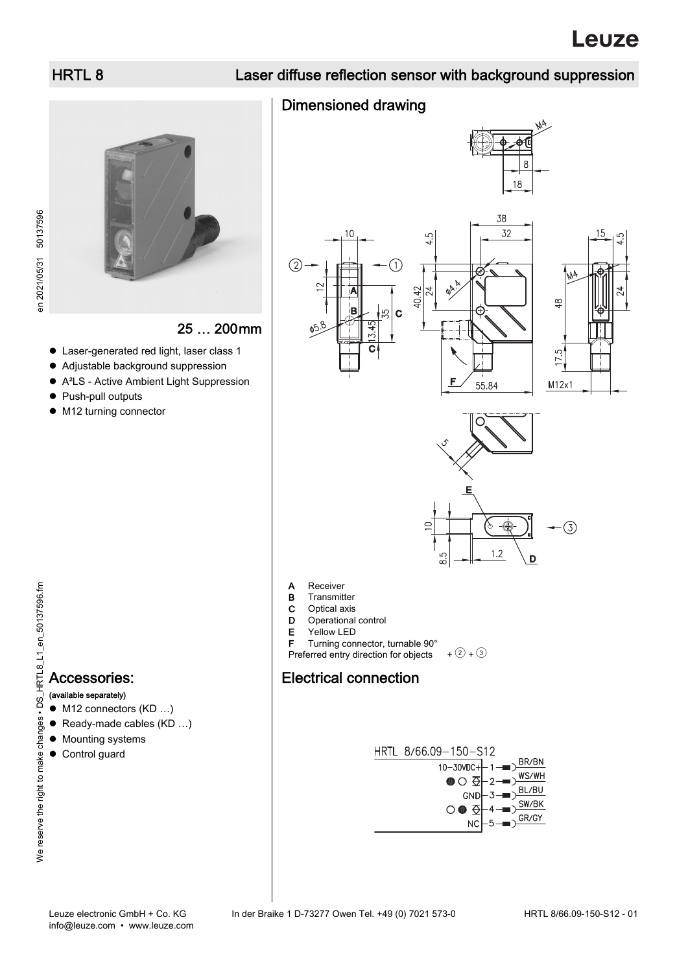en 2021/05/31 50137596

en 2021/05/31 50137596

## HRTL 8 Laser diffuse reflection sensor with background suppression

### Dimensioned drawing









15





- **B** Transmitter
- **C** Optical axis<br>**D** Operational
- Operational control
- E Yellow LED
- F Turning connector, turnable 90°

Preferred entry direction for objects  $+$   $(2) +$   $(3)$ 

### Electrical connection





#### (available separately)

- M12 connectors (KD ...)
- Ready-made cables (KD ...)
- Mounting systems
- Control guard



### 25 … 200mm

- Laser-generated red light, laser class 1
- Adjustable background suppression
- A²LS Active Ambient Light Suppression
- Push-pull outputs
- $\bullet$  M12 turning connector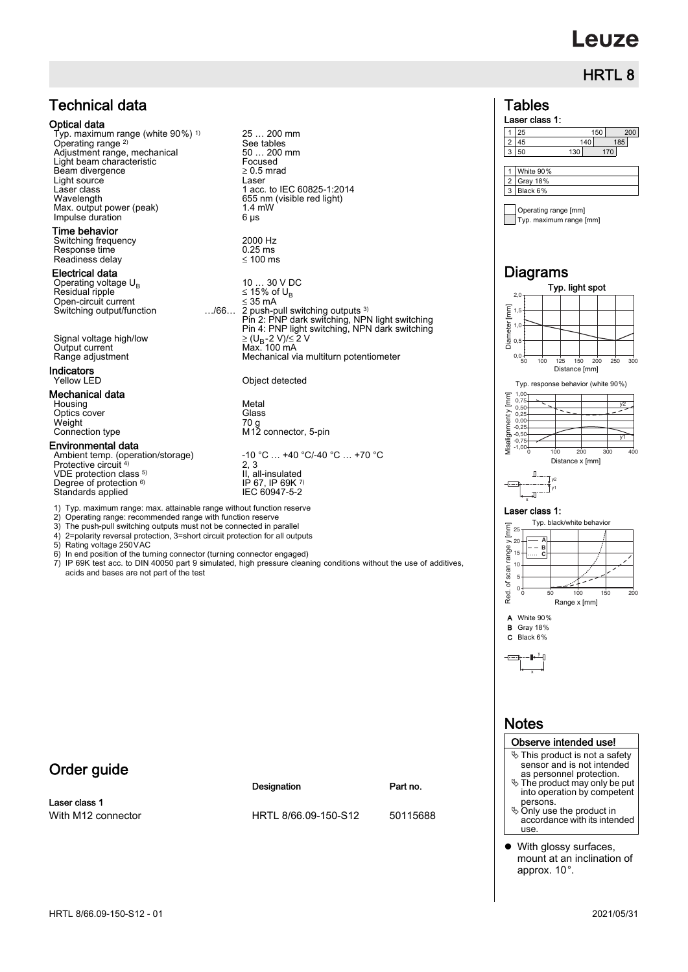# **Leuze**

## HRTL 8

### Technical data

#### Optical data

Typ. maximum range (white 90%) 1) Operating range 2) Adjustment range, mechanical 50 ... 200<br>
Light beam characteristic Focused Light beam characteristic Focused<br>Beam divergence  $\geq 0.5$  mrad  $\begin{array}{ccc}\n \text{Beam divergence} & \text{&} & \geq 0.5 \\
 \text{Light source} & \text{Laser}\n \end{array}$ Light source<br>Laser class<br>Wavelength Laser class 1 acc. to IEC 60825-1:2014 Wavelength 655 nm (visible red light) Max. output power (peak) 1.4 mW<br>Impulse duration 6 us Impulse duration

#### Time behavior

Switching frequency 2000 Hz Response time 0.25 ms Readiness delay ≤ 100 ms

#### Electrical data

Operating voltage U<sub>B</sub> 10 … 30 V DC 10 … 30 V DC 2010<br>Residual ripple  $\leq 15\%$  of U<sub>B</sub> **Electrical data**<br>
Operating voltage  $U_B$ <br>  $V_B$  and  $V_B$  and  $V_B$  and  $V_B$  and  $V_B$  of  $U_B$ <br>  $V_B$   $\leq 35$  mA<br>
Switching output/function<br>  $\therefore$ /66... 2 push-pull sw

Signal voltage high/low ≥ (U<sub>B</sub>-2 V)/≤ 2 V<br>Output current Max. 100 mA Output current<br>Range adjustment

### **Indicators**<br>Yellow LED

#### Mechanical data

Housing Metal<br>
Optics cover Optics cover Weight<br>Connection type

#### Environmental data

Protective circuit<sup>4)</sup> VDE protection class <sup>5)</sup> Degree of protection <sup>6)</sup> Standards applied

1) Typ. maximum range: max. attainable range without function reserve

- 2) Operating range: recommended range with function reserve
- 
- 
- 
- In end position of the turning connector (turning connector engaged)
- acids and bases are not part of the test

### Order guide

Laser class 1

25 … 200 mm See tables<br>50 ... 200 mm

Switching output/function …/66… 2 push-pull switching outputs 3) Pin 2: PNP dark switching, NPN light switching Pin 4: PNP light switching, NPN dark switching Mechanical via multiturn potentiometer

#### Object detected

Conce<br>
70 g<br>
M12 connector, 5-pin

Ambient temp. (operation/storage) -10 °C … +40 °C/-40 °C … +70 °C 2, 3 II, all-insulated IP 67, IP 69K 7

- 
- 3) The push-pull switching outputs must not be connected in parallel 4) 2=polarity reversal protection, 3=short circuit protection for all outputs
- 
- 5) Rating voltage 250 VAC<br>6) In end position of the tur
- 7) IP 69K test acc. to DIN 40050 part 9 simulated, high pressure cleaning conditions without the use of additives,

#### Designation **Part no.**

With M12 connector **HRTL 8/66.09-150-S12** 50115688





### **Notes**

#### Observe intended use!

- This product is not a safety sensor and is not intended as personnel protection.
- The product may only be put into operation by competent persons.
- $\&$  Only use the product in accordance with its intended use.
- With glossy surfaces, mount at an inclination of approx. 10°.